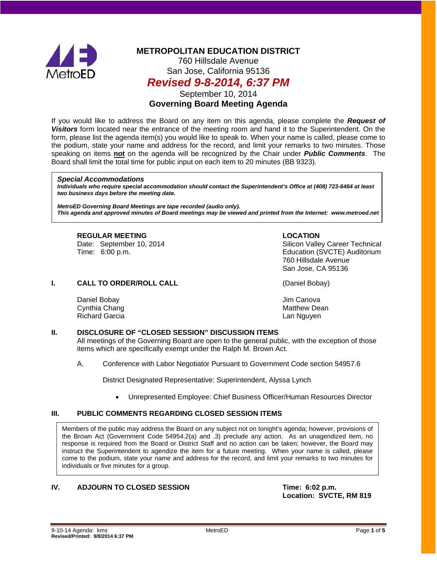

# **METROPOLITAN EDUCATION DISTRICT**

760 Hillsdale Avenue San Jose, California 95136

# *Revised 9-8-2014, 6:37 PM*

September 10, 2014

## **Governing Board Meeting Agenda**

If you would like to address the Board on any item on this agenda, please complete the *Request of Visitors* form located near the entrance of the meeting room and hand it to the Superintendent. On the form, please list the agenda item(s) you would like to speak to. When your name is called, please come to the podium, state your name and address for the record, and limit your remarks to two minutes. Those speaking on items **not** on the agenda will be recognized by the Chair under *Public Comments*. The Board shall limit the total time for public input on each item to 20 minutes (BB 9323).

#### *Special Accommodations*

*Individuals who require special accommodation should contact the Superintendent's Office at (408) 723-6464 at least two business days before the meeting date.*

*MetroED Governing Board Meetings are tape recorded (audio only). This agenda and approved minutes of Board meetings may be viewed and printed from the Internet: www.metroed.net*

**REGULAR MEETING LOCATION**

Date: September 10, 2014 **Shareh** Silicon Valley Career Technical Time: 6:00 p.m. Education (SVCTE) Auditorium 760 Hillsdale Avenue San Jose, CA 95136

**I. CALL TO ORDER/ROLL CALL CALL CALL** (Daniel Bobay)

Daniel Bobay Jim Canova Cynthia Chang Richard Garcia Lan Nguyen

### **II. DISCLOSURE OF "CLOSED SESSION" DISCUSSION ITEMS**

All meetings of the Governing Board are open to the general public, with the exception of those items which are specifically exempt under the Ralph M. Brown Act.

A. Conference with Labor Negotiator Pursuant to Government Code section 54957.6

District Designated Representative: Superintendent, Alyssa Lynch

• Unrepresented Employee: Chief Business Officer/Human Resources Director

### **III. PUBLIC COMMENTS REGARDING CLOSED SESSION ITEMS**

Members of the public may address the Board on any subject not on tonight's agenda; however, provisions of the Brown Act (Government Code 54954.2(a) and .3) preclude any action. As an unagendized item, no response is required from the Board or District Staff and no action can be taken; however, the Board may instruct the Superintendent to agendize the item for a future meeting. When your name is called, please come to the podium, state your name and address for the record, and limit your remarks to two minutes for individuals or five minutes for a group.

### **IV. ADJOURN TO CLOSED SESSION Time: 6:02 p.m.**

**Location: SVCTE, RM 819**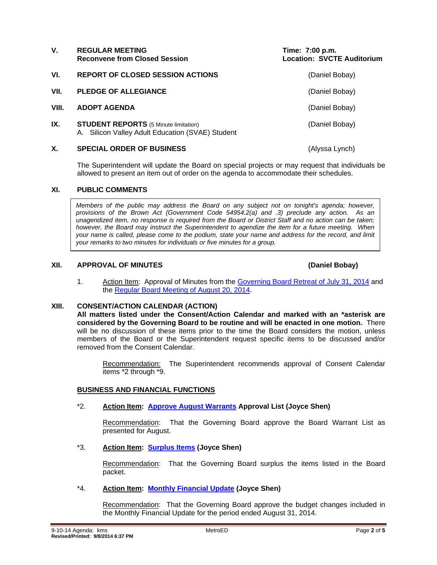| V.    | <b>REGULAR MEETING</b><br><b>Reconvene from Closed Session</b>                                   | Time: 7:00 p.m.<br><b>Location: SVCTE Auditorium</b> |
|-------|--------------------------------------------------------------------------------------------------|------------------------------------------------------|
| VI.   | <b>REPORT OF CLOSED SESSION ACTIONS</b>                                                          | (Daniel Bobay)                                       |
| VII.  | <b>PLEDGE OF ALLEGIANCE</b>                                                                      | (Daniel Bobay)                                       |
| VIII. | <b>ADOPT AGENDA</b>                                                                              | (Daniel Bobay)                                       |
| IX.   | <b>STUDENT REPORTS</b> (5 Minute limitation)<br>A. Silicon Valley Adult Education (SVAE) Student | (Daniel Bobay)                                       |
| Х.    | <b>SPECIAL ORDER OF BUSINESS</b>                                                                 | (Alyssa Lynch)                                       |

The Superintendent will update the Board on special projects or may request that individuals be allowed to present an item out of order on the agenda to accommodate their schedules.

#### **XI. PUBLIC COMMENTS**

*Members of the public may address the Board on any subject not on tonight's agenda; however, provisions of the Brown Act (Government Code 54954.2(a) and .3) preclude any action. As an unagendized item, no response is required from the Board or District Staff and no action can be taken; however, the Board may instruct the Superintendent to agendize the item for a future meeting. When your name is called, please come to the podium, state your name and address for the record, and limit your remarks to two minutes for individuals or five minutes for a group.*

#### **XII. APPROVAL OF MINUTES (Daniel Bobay)**

#### 1. Action Item: Approval of Minutes from the [Governing Board Retreat of July 31, 2014](http://fbsd.metroed.net/ksmith/Board_Agenda/09-10-14BoardAgenda/Item-01_07-31-14BoardRetreatMinutes.pdf) and the [Regular Board Meeting of August 20, 2014.](http://fbsd.metroed.net/ksmith/Board_Agenda/09-10-14BoardAgenda/Item-01_08-20-14BoardMinutes.pdf)

#### **XIII. CONSENT/ACTION CALENDAR (ACTION)**

**All matters listed under the Consent/Action Calendar and marked with an \*asterisk are considered by the Governing Board to be routine and will be enacted in one motion.** There will be no discussion of these items prior to the time the Board considers the motion, unless members of the Board or the Superintendent request specific items to be discussed and/or removed from the Consent Calendar.

Recommendation: The Superintendent recommends approval of Consent Calendar items \*2 through \*9.

#### **BUSINESS AND FINANCIAL FUNCTIONS**

#### \*2. **Action Item: [Approve August Warrants](http://fbsd.metroed.net/ksmith/Board_Agenda/09-10-14BoardAgenda/Item-02.pdf) Approval List (Joyce Shen)**

Recommendation: That the Governing Board approve the Board Warrant List as presented for August.

#### \*3. **Action Item: [Surplus Items](http://fbsd.metroed.net/ksmith/Board_Agenda/09-10-14BoardAgenda/Item-03.pdf) (Joyce Shen)**

Recommendation: That the Governing Board surplus the items listed in the Board packet.

### \*4. **Action Item: [Monthly Financial Update](http://fbsd.metroed.net/ksmith/Board_Agenda/09-10-14BoardAgenda/Item-04.pdf) (Joyce Shen)**

Recommendation: That the Governing Board approve the budget changes included in the Monthly Financial Update for the period ended August 31, 2014.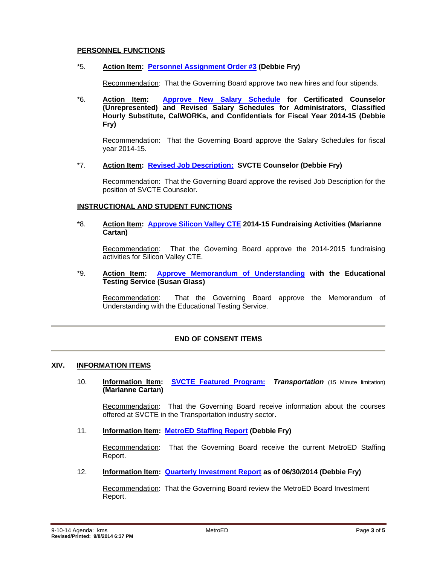### **PERSONNEL FUNCTIONS**

#### \*5. **Action Item: [Personnel Assignment Order #3](http://fbsd.metroed.net/ksmith/Board_Agenda/09-10-14BoardAgenda/Item-05.pdf) (Debbie Fry)**

Recommendation: That the Governing Board approve two new hires and four stipends.

\*6. **Action Item: [Approve New Salary Schedule](http://fbsd.metroed.net/ksmith/Board_Agenda/09-10-14BoardAgenda/Item-06.pdf) for Certificated Counselor (Unrepresented) and Revised Salary Schedules for Administrators, Classified Hourly Substitute, CalWORKs, and Confidentials for Fiscal Year 2014-15 (Debbie Fry)**

Recommendation: That the Governing Board approve the Salary Schedules for fiscal year 2014-15.

#### \*7. **Action Item: [Revised Job Description:](http://fbsd.metroed.net/ksmith/Board_Agenda/09-10-14BoardAgenda/Item-07.pdf) SVCTE Counselor (Debbie Fry)**

Recommendation: That the Governing Board approve the revised Job Description for the position of SVCTE Counselor.

#### **INSTRUCTIONAL AND STUDENT FUNCTIONS**

\*8. **Action Item: [Approve Silicon Valley CTE](http://fbsd.metroed.net/ksmith/Board_Agenda/09-10-14BoardAgenda/Item-08.pdf) 2014-15 Fundraising Activities (Marianne Cartan)**

Recommendation: That the Governing Board approve the 2014-2015 fundraising activities for Silicon Valley CTE.

#### \*9. **Action Item: [Approve Memorandum of Understanding](http://fbsd.metroed.net/ksmith/Board_Agenda/09-10-14BoardAgenda/Item-09.pdf) with the Educational Testing Service (Susan Glass)**

Recommendation: That the Governing Board approve the Memorandum of Understanding with the Educational Testing Service.

### **END OF CONSENT ITEMS**

#### **XIV. INFORMATION ITEMS**

10. **Information Item: [SVCTE Featured Program:](http://fbsd.metroed.net/ksmith/Board_Agenda/09-10-14BoardAgenda/Item-10.pdf)** *Transportation* (15 Minute limitation) **(Marianne Cartan)**

Recommendation: That the Governing Board receive information about the courses offered at SVCTE in the Transportation industry sector.

11. **Information Item: [MetroED Staffing Report](http://fbsd.metroed.net/ksmith/Board_Agenda/09-10-14BoardAgenda/Item-11.pdf) (Debbie Fry)**

Recommendation: That the Governing Board receive the current MetroED Staffing Report.

12. **Information Item: [Quarterly Investment Report](http://fbsd.metroed.net/ksmith/Board_Agenda/09-10-14BoardAgenda/Item-12.pdf) as of 06/30/2014 (Debbie Fry)**

Recommendation: That the Governing Board review the MetroED Board Investment Report.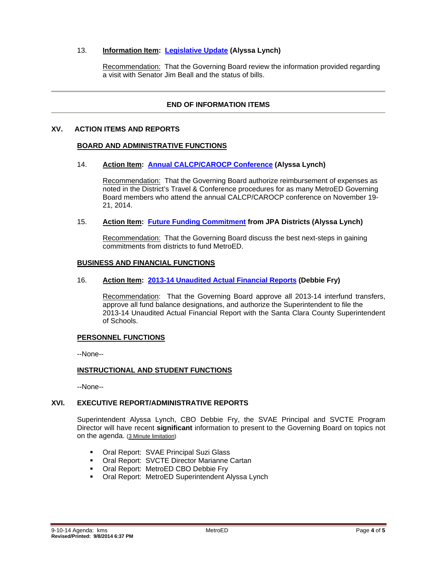### 13. **Information Item: [Legislative Update](http://fbsd.metroed.net/ksmith/Board_Agenda/09-10-14BoardAgenda/Item-13.pdf) (Alyssa Lynch)**

Recommendation: That the Governing Board review the information provided regarding a visit with Senator Jim Beall and the status of bills.

### **END OF INFORMATION ITEMS**

#### **XV. ACTION ITEMS AND REPORTS**

#### **BOARD AND ADMINISTRATIVE FUNCTIONS**

#### 14. **Action Item: [Annual CALCP/CAROCP Conference](http://fbsd.metroed.net/ksmith/Board_Agenda/09-10-14BoardAgenda/Item-14.pdf) (Alyssa Lynch)**

Recommendation: That the Governing Board authorize reimbursement of expenses as noted in the District's Travel & Conference procedures for as many MetroED Governing Board members who attend the annual CALCP/CAROCP conference on November 19- 21, 2014.

#### 15. **Action Item: [Future Funding Commitment](http://fbsd.metroed.net/ksmith/Board_Agenda/09-10-14BoardAgenda/Item-15.pdf) from JPA Districts (Alyssa Lynch)**

Recommendation: That the Governing Board discuss the best next-steps in gaining commitments from districts to fund MetroED.

#### **BUSINESS AND FINANCIAL FUNCTIONS**

#### 16. **Action Item: [2013-14 Unaudited Actual Financial Reports](http://fbsd.metroed.net/ksmith/Board_Agenda/09-10-14BoardAgenda/Item-16.pdf) (Debbie Fry)**

Recommendation: That the Governing Board approve all 2013-14 interfund transfers, approve all fund balance designations, and authorize the Superintendent to file the 2013-14 Unaudited Actual Financial Report with the Santa Clara County Superintendent of Schools.

#### **PERSONNEL FUNCTIONS**

--None--

#### **INSTRUCTIONAL AND STUDENT FUNCTIONS**

--None--

#### **XVI. EXECUTIVE REPORT/ADMINISTRATIVE REPORTS**

Superintendent Alyssa Lynch, CBO Debbie Fry, the SVAE Principal and SVCTE Program Director will have recent **significant** information to present to the Governing Board on topics not on the agenda. (3 Minute limitation)

- **Oral Report: SVAE Principal Suzi Glass**
- **Oral Report: SVCTE Director Marianne Cartan**
- **Oral Report: MetroED CBO Debbie Fry**
- **Oral Report: MetroED Superintendent Alyssa Lynch**